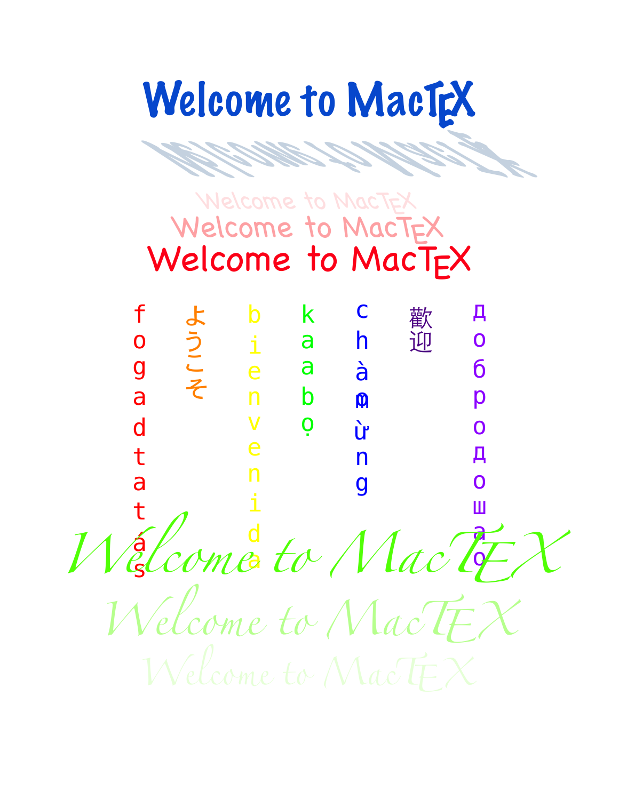Welcome to MacT We can be a control to EX to month.

# Welcome to MacTEX Welcome to MacT<sub>F</sub>X Welcome to MacT<sub>F</sub>X

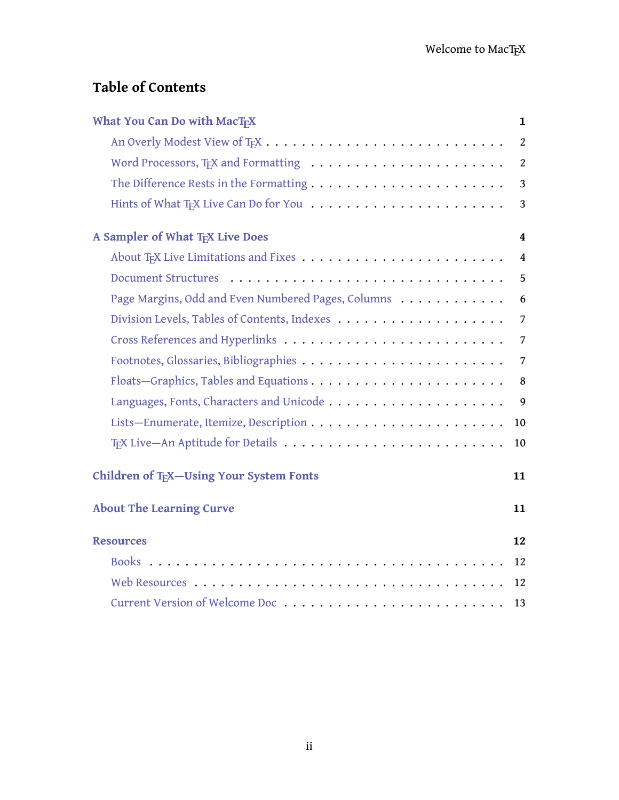# **Table of Contents**

| What You Can Do with MacTFX                        | $\mathbf{1}$   |
|----------------------------------------------------|----------------|
|                                                    | 2              |
|                                                    | 2              |
|                                                    | 3              |
|                                                    | 3              |
| A Sampler of What TFX Live Does                    | 4              |
|                                                    | $\overline{4}$ |
|                                                    | 5              |
| Page Margins, Odd and Even Numbered Pages, Columns | 6              |
|                                                    | $\overline{7}$ |
|                                                    | 7              |
|                                                    | $\overline{7}$ |
|                                                    | 8              |
|                                                    | $\mathfrak{g}$ |
|                                                    | 10             |
|                                                    | $10\,$         |
| Children of TFX-Using Your System Fonts            | 11             |
| <b>About The Learning Curve</b>                    | 11             |
| <b>Resources</b>                                   | 12             |
|                                                    | 12             |
|                                                    | 12             |
| Current Version of Welcome Doc                     | 13             |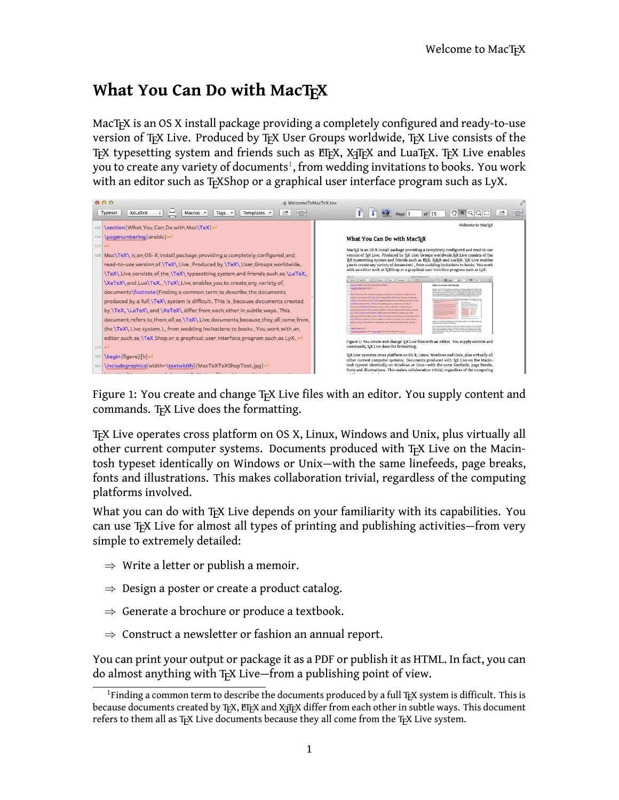## <span id="page-2-0"></span>**What You Can Do with MacTFX**

MacT<sub>E</sub>X is an OS X install package providing a completely configured and ready-to-use version of TEX Live. Produced by TEX User Groups worldwide, TEX Live consists of the TEX typesetting system and friends such as ETEX, XATEX and LuaTEX. TEX Live enables you to create any variety of documents $^{\rm 1}$  $^{\rm 1}$  $^{\rm 1}$ , from wedding invitations to books. You work with an editor such as T<sub>E</sub>XShop or a graphical user interface program such as LyX.



Figure 1: You create and change T<sub>F</sub>X Live files with an editor. You supply content and commands. TEX Live does the formatting.

TEX Live operates cross platform on OS X, Linux, Windows and Unix, plus virtually all other current computer systems. Documents produced with TEX Live on the Macintosh typeset identically on Windows or Unix—with the same linefeeds, page breaks, fonts and illustrations. This makes collaboration trivial, regardless of the computing platforms involved.

<span id="page-2-2"></span>What you can do with T<sub>EX</sub> Live depends on your familiarity with its capabilities. You can use T<sub>F</sub>X Live for almost all types of printing and publishing activities—from very simple to extremely detailed:

- *⇒* Write a letter or publish a memoir.
- *⇒* Design a poster or create a product catalog.
- *⇒* Generate a brochure or produce a textbook.
- *⇒* Construct a newsletter or fashion an annual report.

You can print your output or package it as a PDF or publish it as HTML. In fact, you can do almost anything with T<sub>EX</sub> Live—from a publishing point of view.

<span id="page-2-1"></span><sup>&</sup>lt;sup>1</sup>Finding a common term to describe the documents produced by a full T<sub>F</sub>X system is difficult. This is because documents created by TEX, ETEX and X=TEX differ from each other in subtle ways. This document refers to them all as TEX Live documents because they all come from the TEX Live system.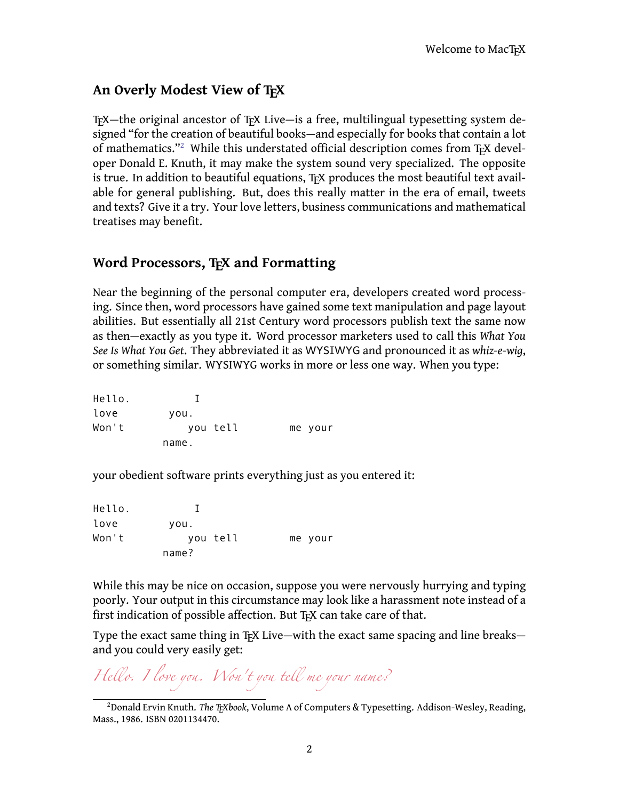#### <span id="page-3-0"></span>**An Overly Modest View of TEX**

TEX—the original ancestor of TEX Live—is a free, multilingual typesetting system designed "for the creation of beautiful books—and especially for books that contain a lot of mathematics."<sup>[2](#page-3-2)</sup> While this understated official description comes from T<sub>F</sub>X developer Donald E. Knuth, it may make the system sound very specialized. The opposite is true. In addition to beautiful equations, TFX produces the most beautiful text available for general publishing. But, does this really matter in the era of email, tweets and texts? Give it a try. Your love letters, business communications and mathematical treatises may benefit.

#### <span id="page-3-1"></span>**Word Processors, TEX and Formatting**

Near the beginning of the personal computer era, developers created word processing. Since then, word processors have gained some text manipulation and page layout abilities. But essentially all 21st Century word processors publish text the same now as then—exactly as you type it. Word processor marketers used to call this *What You See Is What You Get*. They abbreviated it as WYSIWYG and pronounced it as *whiz-e-wig*, or something similar. WYSIWYG works in more or less one way. When you type:

| Hello. |          |         |
|--------|----------|---------|
| love   | you.     |         |
| Won't  | you tell | me your |
|        | name.    |         |

your obedient software prints everything just as you entered it:

| Hello. |          |         |
|--------|----------|---------|
| love   | you.     |         |
| Won't  | you tell | me your |
|        | name?    |         |

While this may be nice on occasion, suppose you were nervously hurrying and typing poorly. Your output in this circumstance may look like a harassment note instead of a first indication of possible affection. But T<sub>F</sub>X can take care of that.

Type the exact same thing in T<sub>EX</sub> Live—with the exact same spacing and line breaks and you could very easily get:

*Hello. <sup>I</sup> love you. Won't you tell me your name?*

<span id="page-3-2"></span><sup>2</sup>Donald Ervin Knuth. *The TEXbook*, Volume A of Computers & Typesetting. Addison-Wesley, Reading, Mass., 1986. ISBN 0201134470.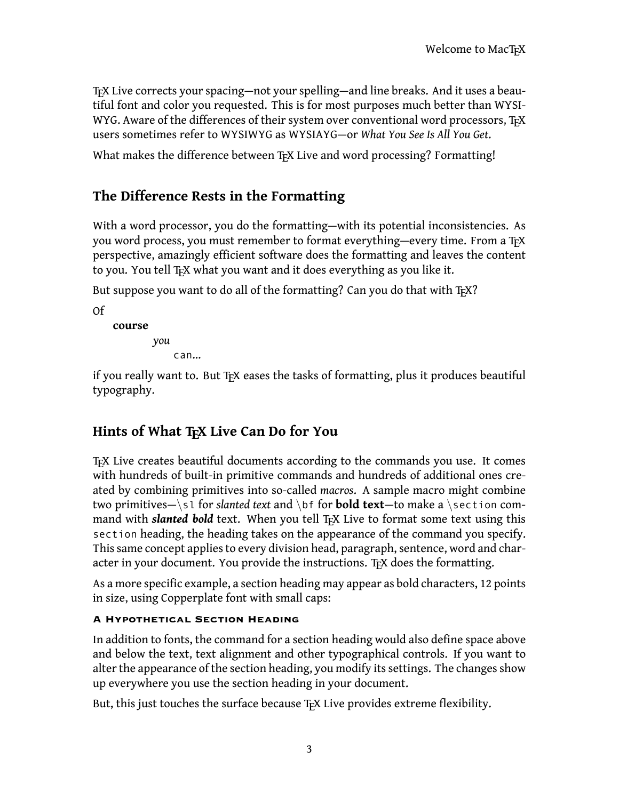TEX Live corrects your spacing—not your spelling—and line breaks. And it uses a beautiful font and color you requested. This is for most purposes much better than WYSI-WYG. Aware of the differences of their system over conventional word processors, TFX users sometimes refer to WYSIWYG as WYSIAYG—or *What You See Is All You Get*.

What makes the difference between T<sub>F</sub>X Live and word processing? Formatting!

#### <span id="page-4-0"></span>**The Difference Rests in the Formatting**

With a word processor, you do the formatting—with its potential inconsistencies. As you word process, you must remember to format everything—every time. From a TFX perspective, amazingly efficient software does the formatting and leaves the content to you. You tell T<sub>F</sub>X what you want and it does everything as you like it.

But suppose you want to do all of the formatting? Can you do that with TFX?

Of

**course** *you*

can…

if you really want to. But T<sub>E</sub>X eases the tasks of formatting, plus it produces beautiful typography.

#### <span id="page-4-1"></span>Hints of What T<sub>F</sub>X Live Can Do for You

TEX Live creates beautiful documents according to the commands you use. It comes with hundreds of built-in primitive commands and hundreds of additional ones created by combining primitives into so-called *macros*. A sample macro might combine two primitives—*\*sl for *slanted text* and *\*bf for **bold text**—to make a *\*section command with *slanted bold* text. When you tell T<sub>EX</sub> Live to format some text using this section heading, the heading takes on the appearance of the command you specify. This same concept applies to every division head, paragraph, sentence, word and character in your document. You provide the instructions. TEX does the formatting.

As a more specific example, a section heading may appear as bold characters, 12 points in size, using Copperplate font with small caps:

#### **A Hypothetical Section Heading**

In addition to fonts, the command for a section heading would also define space above and below the text, text alignment and other typographical controls. If you want to alter the appearance of the section heading, you modify its settings. The changes show up everywhere you use the section heading in your document.

But, this just touches the surface because T<sub>F</sub>X Live provides extreme flexibility.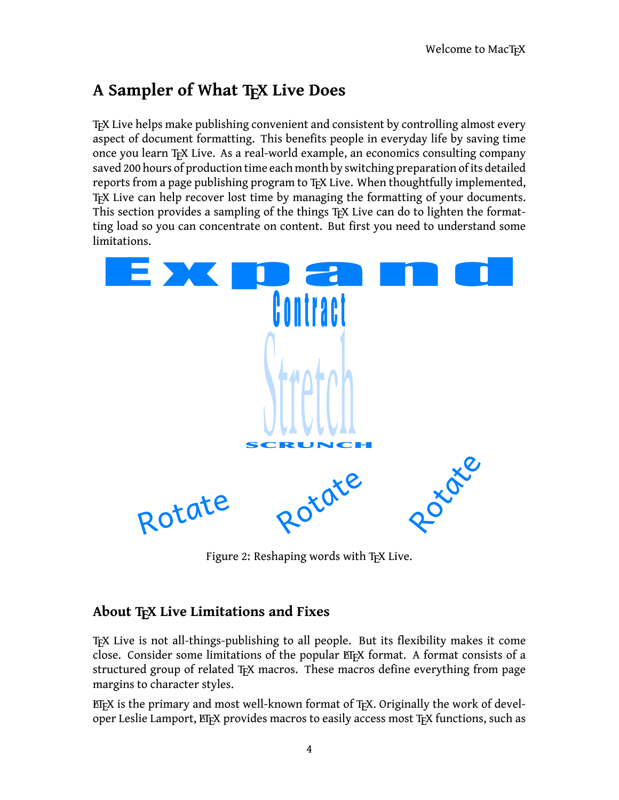## <span id="page-5-0"></span>**A Sampler of What TEX Live Does**

TEX Live helps make publishing convenient and consistent by controlling almost every aspect of document formatting. This benefits people in everyday life by saving time once you learn TEX Live. As a real-world example, an economics consulting company saved 200 hours of production time each month by switching preparation of its detailed reports from a page publishing program to T<sub>EX</sub> Live. When thoughtfully implemented, TEX Live can help recover lost time by managing the formatting of your documents. This section provides a sampling of the things T<sub>EX</sub> Live can do to lighten the formatting load so you can concentrate on content. But first you need to understand some limitations. exports from a page publishing program to T<sub>E</sub>X Live. When thoughtfully implemented A Live can help recover lost time by managing the formatting of your document his section provides a sampling of the things T<sub>E</sub>X Live can



Figure 2: Reshaping words with T<sub>F</sub>X Live.

#### <span id="page-5-1"></span>About T<sub>F</sub>X Live Limitations and Fixes

TEX Live is not all-things-publishing to all people. But its flexibility makes it come close. Consider some limitations of the popular ETFX format. A format consists of a structured group of related T<sub>EX</sub> macros. These macros define everything from page margins to character styles.

 $E$ FX is the primary and most well-known format of TFX. Originally the work of developer Leslie Lamport,  $E$ F<sub>F</sub>X provides macros to easily access most  $T$ <sub>F</sub>X functions, such as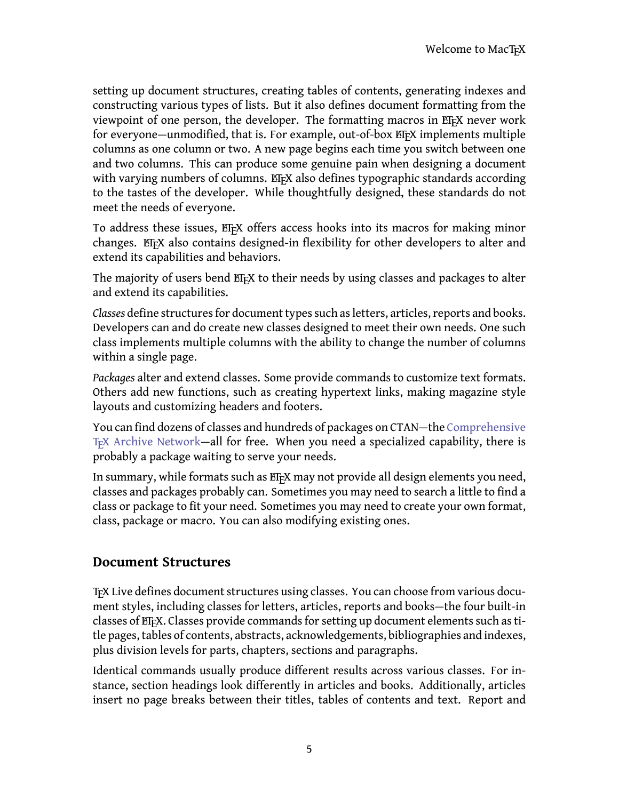setting up document structures, creating tables of contents, generating indexes and constructing various types of lists. But it also defines document formatting from the viewpoint of one person, the developer. The formatting macros in EIFX never work for everyone—unmodified, that is. For example, out-of-box ET<sub>F</sub>X implements multiple columns as one column or two. A new page begins each time you switch between one and two columns. This can produce some genuine pain when designing a document with varying numbers of columns. ET<sub>F</sub>X also defines typographic standards according to the tastes of the developer. While thoughtfully designed, these standards do not meet the needs of everyone.

To address these issues, ET<sub>E</sub>X offers access hooks into its macros for making minor changes. ET<sub>E</sub>X also contains designed-in flexibility for other developers to alter and extend its capabilities and behaviors.

The majority of users bend ET<sub>E</sub>X to their needs by using classes and packages to alter and extend its capabilities.

*Classes* define structures for document types such as letters, articles, reports and books. Developers can and do create new classes designed to meet their own needs. One such class implements multiple columns with the ability to change the number of columns within a single page.

*Packages* alter and extend classes. Some provide commands to customize text formats. Others add new functions, such as creating hypertext links, making magazine style layouts and customizing headers and footers.

You can find dozens of classes and hundreds of packages on CTAN—the [Comprehensive](http://www.ctan.org) T<sub>EX</sub> Archive Network—all for free. When you need a specialized capability, there is probably a package waiting to serve your needs.

In summary, while formats such as ETEX may not provide all design elements you need, classes and packages probably can. Sometimes you may need to search a little to find a class or package to fit your need. Sometimes you may need to create your own format, class, package or macro. You can also modifying existing ones.

#### <span id="page-6-0"></span>**Document Structures**

TEX Live defines document structures using classes. You can choose from various document styles, including classes for letters, articles, reports and books—the four built-in classes of LTFX. Classes provide commands for setting up document elements such as title pages, tables of contents, abstracts, acknowledgements, bibliographies and indexes, plus division levels for parts, chapters, sections and paragraphs.

Identical commands usually produce different results across various classes. For instance, section headings look differently in articles and books. Additionally, articles insert no page breaks between their titles, tables of contents and text. Report and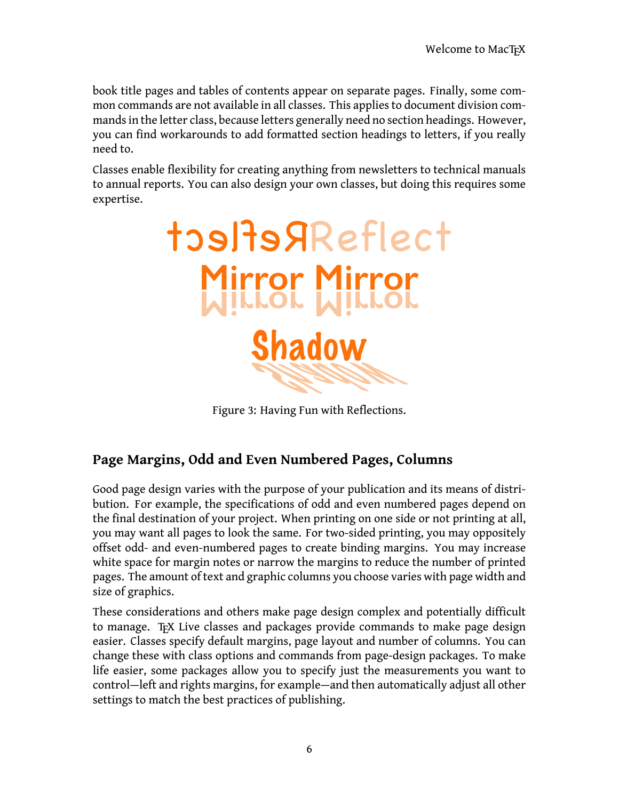book title pages and tables of contents appear on separate pages. Finally, some common commands are not available in all classes. This applies to document division commands in the letter class, because letters generally need no section headings. However, you can find workarounds to add formatted section headings to letters, if you really need to.

Classes enable flexibility for creating anything from newsletters to technical manuals to annual reports. You can also design your own classes, but doing this requires some expertise.



Figure 3: Having Fun with Reflections.

### <span id="page-7-0"></span>**Page Margins, Odd and Even Numbered Pages, Columns**

Good page design varies with the purpose of your publication and its means of distribution. For example, the specifications of odd and even numbered pages depend on the final destination of your project. When printing on one side or not printing at all, you may want all pages to look the same. For two-sided printing, you may oppositely offset odd- and even-numbered pages to create binding margins. You may increase white space for margin notes or narrow the margins to reduce the number of printed pages. The amount of text and graphic columns you choose varies with page width and size of graphics.

These considerations and others make page design complex and potentially difficult to manage. T<sub>F</sub>X Live classes and packages provide commands to make page design easier. Classes specify default margins, page layout and number of columns. You can change these with class options and commands from page-design packages. To make life easier, some packages allow you to specify just the measurements you want to control—left and rights margins, for example—and then automatically adjust all other settings to match the best practices of publishing.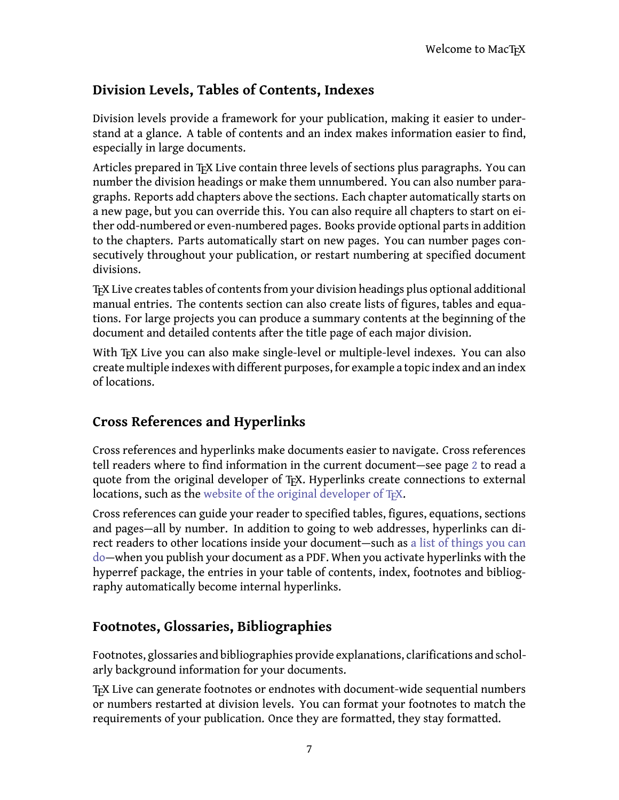### <span id="page-8-0"></span>**Division Levels, Tables of Contents, Indexes**

Division levels provide a framework for your publication, making it easier to understand at a glance. A table of contents and an index makes information easier to find, especially in large documents.

Articles prepared in T<sub>E</sub>X Live contain three levels of sections plus paragraphs. You can number the division headings or make them unnumbered. You can also number paragraphs. Reports add chapters above the sections. Each chapter automatically starts on a new page, but you can override this. You can also require all chapters to start on either odd-numbered or even-numbered pages. Books provide optional parts in addition to the chapters. Parts automatically start on new pages. You can number pages consecutively throughout your publication, or restart numbering at specified document divisions.

TEX Live creates tables of contents from your division headings plus optional additional manual entries. The contents section can also create lists of figures, tables and equations. For large projects you can produce a summary contents at the beginning of the document and detailed contents after the title page of each major division.

With T<sub>EX</sub> Live you can also make single-level or multiple-level indexes. You can also create multiple indexes with different purposes, for example a topic index and an index of locations.

### <span id="page-8-1"></span>**Cross References and Hyperlinks**

Cross references and hyperlinks make documents easier to navigate. Cross references tell readers where to find information in the current document—see page [2](#page-3-0) to read a quote from the original developer of TEX. Hyperlinks create connections to external locations, such as the website of the original developer of T<sub>E</sub>X.

Cross references can guide your reader to specified tables, figures, equations, sections and pages—all by number. In addition to going to web addresses, hyperlinks can direct readers to other locations inside your document—such as [a list of things you can](#page-2-2) [do](#page-2-2)—when you publish your document as a PDF. When you activate hyperlinks with the hyperref package, the entries in your table of contents, index, footnotes and bibliography automatically become internal hyperlinks.

### <span id="page-8-2"></span>**Footnotes, Glossaries, Bibliographies**

Footnotes, glossaries and bibliographies provide explanations, clarifications and scholarly background information for your documents.

TEX Live can generate footnotes or endnotes with document-wide sequential numbers or numbers restarted at division levels. You can format your footnotes to match the requirements of your publication. Once they are formatted, they stay formatted.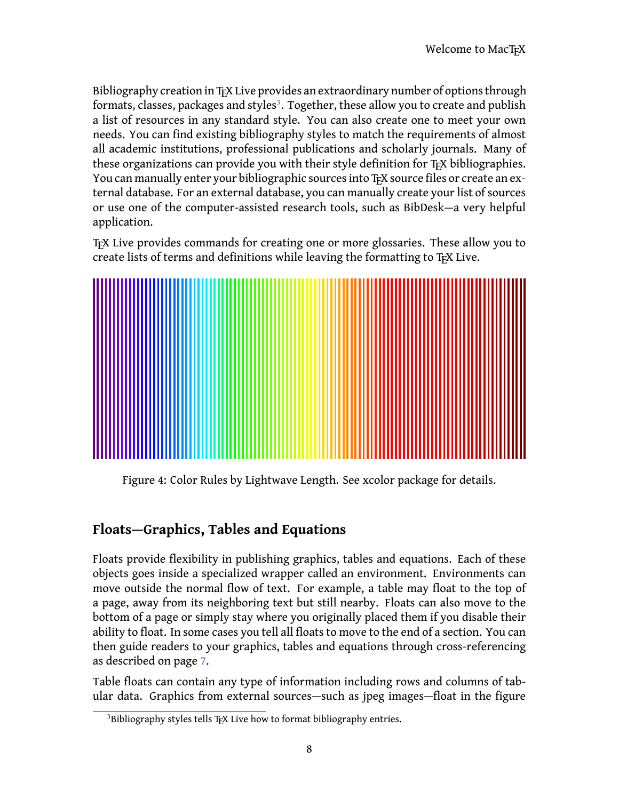Bibliography creation in TEX Live provides an extraordinary number of options through formats, classes, packages and styles<sup>[3](#page-9-1)</sup>. Together, these allow you to create and publish a list of resources in any standard style. You can also create one to meet your own needs. You can find existing bibliography styles to match the requirements of almost all academic institutions, professional publications and scholarly journals. Many of these organizations can provide you with their style definition for T<sub>F</sub>X bibliographies. You can manually enter your bibliographic sources into T<sub>E</sub>X source files or create an external database. For an external database, you can manually create your list of sources or use one of the computer-assisted research tools, such as BibDesk—a very helpful application.

TEX Live provides commands for creating one or more glossaries. These allow you to create lists of terms and definitions while leaving the formatting to T<sub>F</sub>X Live.



Figure 4: Color Rules by Lightwave Length. See xcolor package for details.

## <span id="page-9-0"></span>**Floats—Graphics, Tables and Equations**

Floats provide flexibility in publishing graphics, tables and equations. Each of these objects goes inside a specialized wrapper called an environment. Environments can move outside the normal flow of text. For example, a table may float to the top of a page, away from its neighboring text but still nearby. Floats can also move to the bottom of a page or simply stay where you originally placed them if you disable their ability to float. In some cases you tell all floats to move to the end of a section. You can then guide readers to your graphics, tables and equations through cross-referencing as described on page [7.](#page-8-1)

Table floats can contain any type of information including rows and columns of tabular data. Graphics from external sources—such as jpeg images—float in the figure

<span id="page-9-1"></span><sup>&</sup>lt;sup>3</sup>Bibliography styles tells TEX Live how to format bibliography entries.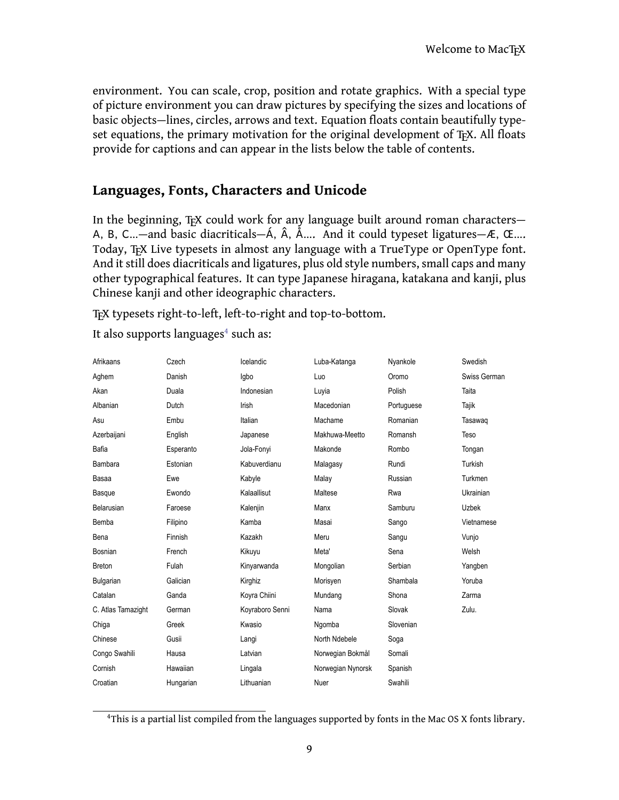environment. You can scale, crop, position and rotate graphics. With a special type of picture environment you can draw pictures by specifying the sizes and locations of basic objects—lines, circles, arrows and text. Equation floats contain beautifully typeset equations, the primary motivation for the original development of  $T<sub>F</sub>X$ . All floats provide for captions and can appear in the lists below the table of contents.

#### <span id="page-10-0"></span>**Languages, Fonts, Characters and Unicode**

In the beginning, T<sub>F</sub>X could work for any language built around roman characters-A, B, C...—and basic diacriticals—Á,  $\hat{A}$ ,  $\hat{A}$ .... And it could typeset ligatures—Æ, Œ.... Today, T<sub>F</sub>X Live typesets in almost any language with a TrueType or OpenType font. And it still does diacriticals and ligatures, plus old style numbers, small caps and many other typographical features. It can type Japanese hiragana, katakana and kanji, plus Chinese kanji and other ideographic characters.

TEX typesets right-to-left, left-to-right and top-to-bottom.

It also supports languages<sup>[4](#page-10-1)</sup> such as:

| Afrikaans          | Czech     | Icelandic       | Luba-Katanga      | Nyankole   | Swedish      |
|--------------------|-----------|-----------------|-------------------|------------|--------------|
| Aghem              | Danish    | Igbo            | Luo               | Oromo      | Swiss German |
| Akan               | Duala     | Indonesian      | Luyia             | Polish     | Taita        |
| Albanian           | Dutch     | Irish           | Macedonian        | Portuguese | Tajik        |
| Asu                | Embu      | Italian         | Machame           | Romanian   | Tasawag      |
| Azerbaijani        | English   | Japanese        | Makhuwa-Meetto    | Romansh    | Teso         |
| Bafia              | Esperanto | Jola-Fonyi      | Makonde           | Rombo      | Tongan       |
| <b>Bambara</b>     | Estonian  | Kabuverdianu    | Malagasy          | Rundi      | Turkish      |
| Basaa              | Ewe       | Kabyle          | Malay             | Russian    | Turkmen      |
| Basque             | Ewondo    | Kalaallisut     | Maltese           | Rwa        | Ukrainian    |
| Belarusian         | Faroese   | Kalenjin        | Manx              | Samburu    | <b>Uzbek</b> |
| Bemba              | Filipino  | Kamba           | Masai             | Sango      | Vietnamese   |
| Bena               | Finnish   | Kazakh          | Meru              | Sangu      | Vunjo        |
| Bosnian            | French    | Kikuyu          | Meta'             | Sena       | Welsh        |
| <b>Breton</b>      | Fulah     | Kinyarwanda     | Mongolian         | Serbian    | Yangben      |
| Bulgarian          | Galician  | Kirghiz         | Morisyen          | Shambala   | Yoruba       |
| Catalan            | Ganda     | Koyra Chiini    | Mundang           | Shona      | Zarma        |
| C. Atlas Tamazight | German    | Koyraboro Senni | Nama              | Slovak     | Zulu.        |
| Chiga              | Greek     | Kwasio          | Ngomba            | Slovenian  |              |
| Chinese            | Gusii     | Langi           | North Ndebele     | Soga       |              |
| Congo Swahili      | Hausa     | Latvian         | Norwegian Bokmål  | Somali     |              |
| Cornish            | Hawaiian  | Lingala         | Norwegian Nynorsk | Spanish    |              |
| Croatian           | Hungarian | Lithuanian      | Nuer              | Swahili    |              |
|                    |           |                 |                   |            |              |

<span id="page-10-1"></span><sup>4</sup>This is a partial list compiled from the languages supported by fonts in the Mac OS X fonts library.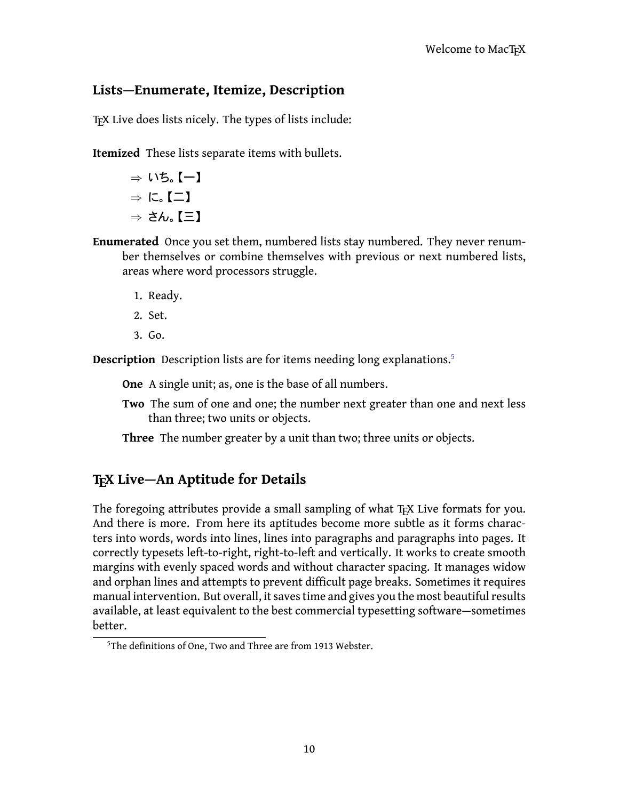#### <span id="page-11-0"></span>**Lists—Enumerate, Itemize, Description**

TEX Live does lists nicely. The types of lists include:

**Itemized** These lists separate items with bullets.

*⇒* ᶻᷘᴗᴾ一ᴿ *⇒* ᷢᴗᴾ二ᴿ *⇒* ᷌Ḋᴗᴾ三ᴿ

- **Enumerated** Once you set them, numbered lists stay numbered. They never renumber themselves or combine themselves with previous or next numbered lists, areas where word processors struggle.
	- 1. Ready.
	- 2. Set.
	- 3. Go.

**Description** Description lists are for items needing long explanations.[5](#page-11-2)

**One** A single unit; as, one is the base of all numbers.

**Two** The sum of one and one; the number next greater than one and next less than three; two units or objects.

**Three** The number greater by a unit than two; three units or objects.

#### <span id="page-11-1"></span>**TEX Live—An Aptitude for Details**

The foregoing attributes provide a small sampling of what T<sub>EX</sub> Live formats for you. And there is more. From here its aptitudes become more subtle as it forms characters into words, words into lines, lines into paragraphs and paragraphs into pages. It correctly typesets left-to-right, right-to-left and vertically. It works to create smooth margins with evenly spaced words and without character spacing. It manages widow and orphan lines and attempts to prevent difficult page breaks. Sometimes it requires manual intervention. But overall, it saves time and gives you the most beautiful results available, at least equivalent to the best commercial typesetting software—sometimes better.

<span id="page-11-2"></span><sup>&</sup>lt;sup>5</sup>The definitions of One. Two and Three are from 1913 Webster.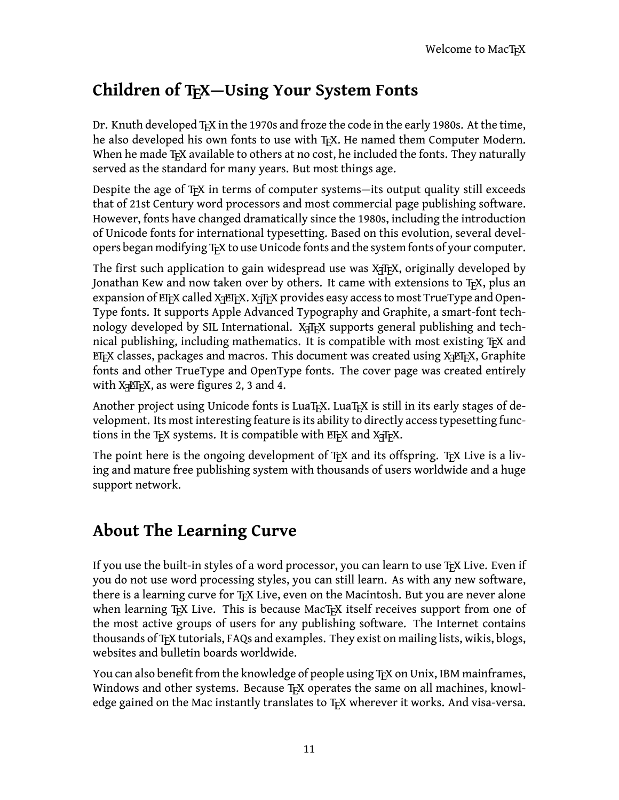# <span id="page-12-0"></span>**Children of TEX—Using Your System Fonts**

Dr. Knuth developed T<sub>F</sub>X in the 1970s and froze the code in the early 1980s. At the time, he also developed his own fonts to use with T<sub>F</sub>X. He named them Computer Modern. When he made  $T<sub>F</sub>X$  available to others at no cost, he included the fonts. They naturally served as the standard for many years. But most things age.

Despite the age of T<sub>F</sub>X in terms of computer systems—its output quality still exceeds that of 21st Century word processors and most commercial page publishing software. However, fonts have changed dramatically since the 1980s, including the introduction of Unicode fonts for international typesetting. Based on this evolution, several developers began modifying T<sub>E</sub>X to use Unicode fonts and the system fonts of your computer.

The first such application to gain widespread use was X $\frac{1}{4}$ F<sub>K</sub>, originally developed by Jonathan Kew and now taken over by others. It came with extensions to TFX, plus an expansion of ET<sub>E</sub>X called X<sub>T</sub>ET<sub>E</sub>X. X<sub>T</sub>T<sub>E</sub>X provides easy access to most TrueType and Open-Type fonts. It supports Apple Advanced Typography and Graphite, a smart-font technology developed by SIL International. X $\exists$ F<sub>F</sub>X supports general publishing and technical publishing, including mathematics. It is compatible with most existing TFX and  $E$ FFX classes, packages and macros. This document was created using  $X \rightarrow E$ FFX, Graphite fonts and other TrueType and OpenType fonts. The cover page was created entirely with  $X \neq Y$ , as were figures 2, 3 and 4.

Another project using Unicode fonts is LuaT<sub>EX</sub>. LuaT<sub>EX</sub> is still in its early stages of development. Its most interesting feature is its ability to directly access typesetting functions in the T<sub>E</sub>X systems. It is compatible with ET<sub>E</sub>X and X<sub>T</sub>T<sub>E</sub>X.

The point here is the ongoing development of T<sub>F</sub>X and its offspring. T<sub>F</sub>X Live is a living and mature free publishing system with thousands of users worldwide and a huge support network.

## <span id="page-12-1"></span>**About The Learning Curve**

If you use the built-in styles of a word processor, you can learn to use TEX Live. Even if you do not use word processing styles, you can still learn. As with any new software, there is a learning curve for T<sub>E</sub>X Live, even on the Macintosh. But you are never alone when learning T<sub>F</sub>X Live. This is because MacT<sub>F</sub>X itself receives support from one of the most active groups of users for any publishing software. The Internet contains thousands of T<sub>E</sub>X tutorials, FAQs and examples. They exist on mailing lists, wikis, blogs, websites and bulletin boards worldwide.

You can also benefit from the knowledge of people using T<sub>F</sub>X on Unix, IBM mainframes, Windows and other systems. Because T<sub>E</sub>X operates the same on all machines, knowledge gained on the Mac instantly translates to T<sub>E</sub>X wherever it works. And visa-versa.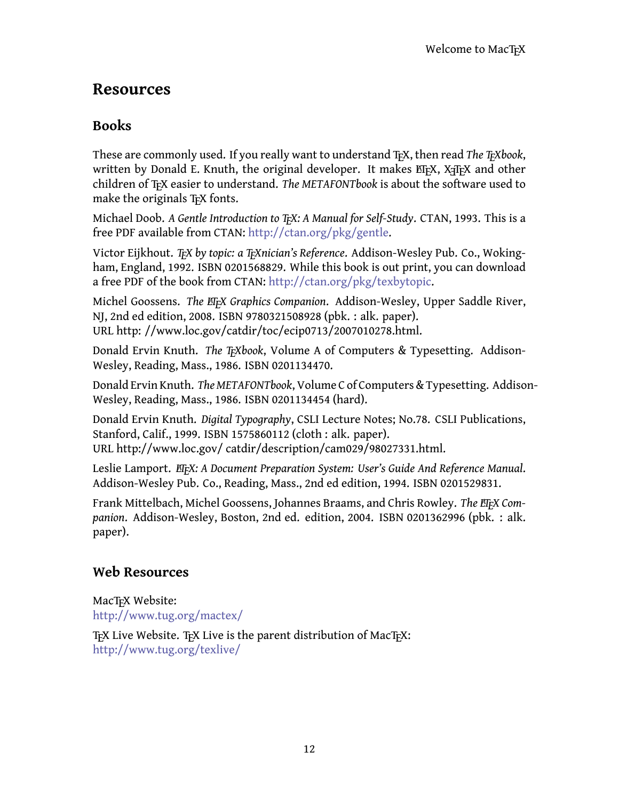## <span id="page-13-0"></span>**Resources**

#### <span id="page-13-1"></span>**Books**

These are commonly used. If you really want to understand T<sub>F</sub>X, then read *The T<sub>F</sub>Xbook*, written by Donald E. Knuth, the original developer. It makes ETFX, XTFX and other children of TEX easier to understand. *The METAFONTbook* is about the software used to make the originals T<sub>F</sub>X fonts.

Michael Doob. *A Gentle Introduction to TEX: A Manual for Self-Study*. CTAN, 1993. This is a free PDF available from CTAN: <http://ctan.org/pkg/gentle>.

Victor Eijkhout. *TEX by topic: a TEXnician's Reference*. Addison-Wesley Pub. Co., Wokingham, England, 1992. ISBN 0201568829. While this book is out print, you can download a free PDF of the book from CTAN: [http://ctan.org/pkg/texbytopic.](http://ctan.org/pkg/texbytopic)

Michel Goossens. *The EIFX Graphics Companion*. Addison-Wesley, Upper Saddle River, NJ, 2nd ed edition, 2008. ISBN 9780321508928 (pbk. : alk. paper). URL http: //www.loc.gov/catdir/toc/ecip0713/2007010278.html.

Donald Ervin Knuth. *The Trixbook*, Volume A of Computers & Typesetting. Addison-Wesley, Reading, Mass., 1986. ISBN 0201134470.

Donald Ervin Knuth. *The METAFONTbook*, Volume C of Computers & Typesetting. Addison-Wesley, Reading, Mass., 1986. ISBN 0201134454 (hard).

Donald Ervin Knuth. *Digital Typography*, CSLI Lecture Notes; No.78. CSLI Publications, Stanford, Calif., 1999. ISBN 1575860112 (cloth : alk. paper). URL http://www.loc.gov/ catdir/description/cam029/98027331.html.

Leslie Lamport. *EIFX: A Document Preparation System: User's Guide And Reference Manual.* Addison-Wesley Pub. Co., Reading, Mass., 2nd ed edition, 1994. ISBN 0201529831.

Frank Mittelbach, Michel Goossens, Johannes Braams, and Chris Rowley. The *EIFX Companion*. Addison-Wesley, Boston, 2nd ed. edition, 2004. ISBN 0201362996 (pbk. : alk. paper).

#### <span id="page-13-2"></span>**Web Resources**

MacT<sub>EX</sub> Website: <http://www.tug.org/mactex/>

T<sub>F</sub>X Live Website. T<sub>F</sub>X Live is the parent distribution of MacT<sub>F</sub>X: <http://www.tug.org/texlive/>